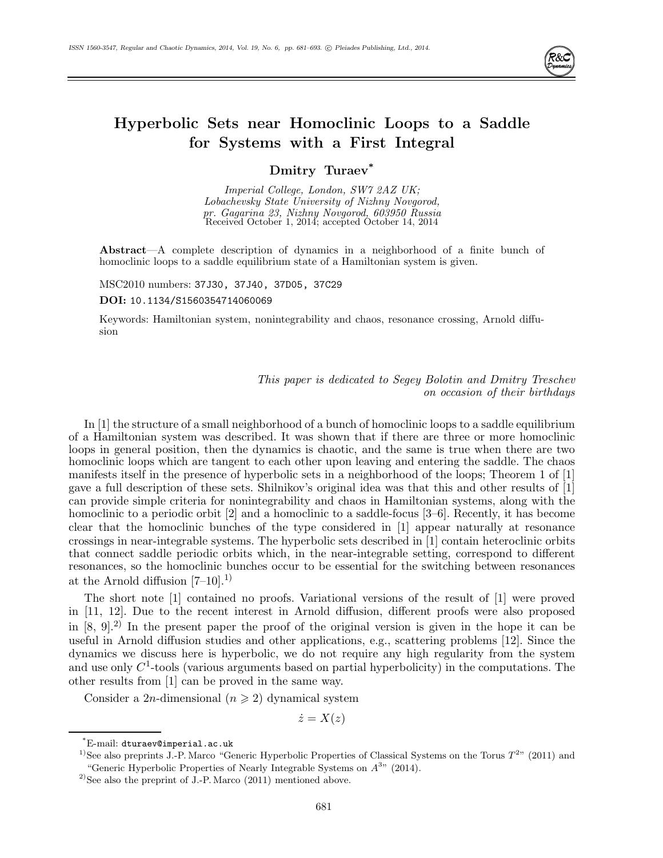

# **Hyperbolic Sets near Homoclinic Loops to a Saddle for Systems with a First Integral**

## **Dmitry Turaev\***

Imperial College, London, SW7 2AZ UK; Lobachevsky State University of Nizhny Novgorod, pr. Gagarina 23, Nizhny Novgorod, 603950 Russia Received October 1, 2014; accepted October 14, 2014

**Abstract**—A complete description of dynamics in a neighborhood of a finite bunch of homoclinic loops to a saddle equilibrium state of a Hamiltonian system is given.

MSC2010 numbers: 37J30, 37J40, 37D05, 37C29

### **DOI:** 10.1134/S1560354714060069

Keywords: Hamiltonian system, nonintegrability and chaos, resonance crossing, Arnold diffusion

> This paper is dedicated to Segey Bolotin and Dmitry Treschev on occasion of their birthdays

In [1] the structure of a small neighborhood of a bunch of homoclinic loops to a saddle equilibrium of a Hamiltonian system was described. It was shown that if there are three or more homoclinic loops in general position, then the dynamics is chaotic, and the same is true when there are two homoclinic loops which are tangent to each other upon leaving and entering the saddle. The chaos manifests itself in the presence of hyperbolic sets in a neighborhood of the loops; Theorem 1 of [1] gave a full description of these sets. Shilnikov's original idea was that this and other results of [1] can provide simple criteria for nonintegrability and chaos in Hamiltonian systems, along with the homoclinic to a periodic orbit [2] and a homoclinic to a saddle-focus [3–6]. Recently, it has become clear that the homoclinic bunches of the type considered in [1] appear naturally at resonance crossings in near-integrable systems. The hyperbolic sets described in [1] contain heteroclinic orbits that connect saddle periodic orbits which, in the near-integrable setting, correspond to different resonances, so the homoclinic bunches occur to be essential for the switching between resonances at the Arnold diffusion  $[7-10]$ <sup>1</sup>.

The short note [1] contained no proofs. Variational versions of the result of [1] were proved in [11, 12]. Due to the recent interest in Arnold diffusion, different proofs were also proposed in [8, 9].2) In the present paper the proof of the original version is given in the hope it can be useful in Arnold diffusion studies and other applications, e.g., scattering problems [12]. Since the dynamics we discuss here is hyperbolic, we do not require any high regularity from the system and use only  $C<sup>1</sup>$ -tools (various arguments based on partial hyperbolicity) in the computations. The other results from [1] can be proved in the same way.

Consider a 2n-dimensional  $(n \geq 2)$  dynamical system

 $\dot{z}=X(z)$ 

<sup>\*</sup>E-mail: dturaev@imperial.ac.uk

<sup>&</sup>lt;sup>1)</sup>See also preprints J.-P. Marco "Generic Hyperbolic Properties of Classical Systems on the Torus  $T^{2n}$  (2011) and "Generic Hyperbolic Properties of Nearly Integrable Systems on  $A^{3}$ " (2014).

<sup>&</sup>lt;sup>2)</sup>See also the preprint of J.-P. Marco  $(2011)$  mentioned above.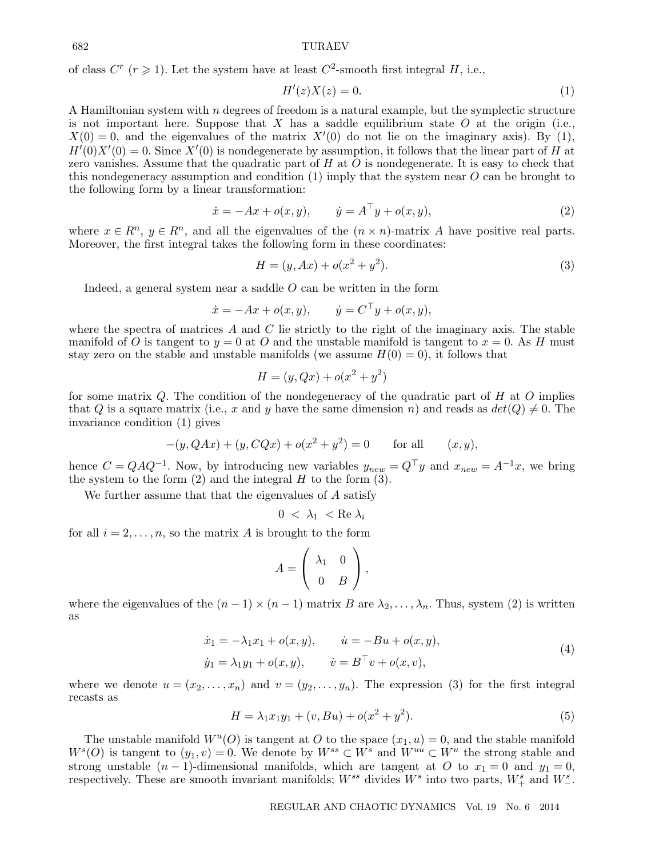682 TURAEV

of class  $C^r$  ( $r \ge 1$ ). Let the system have at least  $C^2$ -smooth first integral H, i.e.,

$$
H'(z)X(z) = 0.\t\t(1)
$$

A Hamiltonian system with  $n$  degrees of freedom is a natural example, but the symplectic structure is not important here. Suppose that  $X$  has a saddle equilibrium state  $O$  at the origin (i.e.,  $X(0) = 0$ , and the eigenvalues of the matrix  $X'(0)$  do not lie on the imaginary axis). By (1),  $H'(0)X'(0) = 0$ . Since  $X'(0)$  is nondegenerate by assumption, it follows that the linear part of H at zero vanishes. Assume that the quadratic part of  $H$  at  $O$  is nondegenerate. It is easy to check that this nondegeneracy assumption and condition  $(1)$  imply that the system near O can be brought to the following form by a linear transformation:

$$
\dot{x} = -Ax + o(x, y), \qquad \dot{y} = A^{\top}y + o(x, y), \tag{2}
$$

where  $x \in \mathbb{R}^n$ ,  $y \in \mathbb{R}^n$ , and all the eigenvalues of the  $(n \times n)$ -matrix A have positive real parts. Moreover, the first integral takes the following form in these coordinates:

$$
H = (y, Ax) + o(x^2 + y^2).
$$
 (3)

Indeed, a general system near a saddle  $O$  can be written in the form

$$
\dot{x} = -Ax + o(x, y),
$$
  $\dot{y} = C^{\top}y + o(x, y),$ 

where the spectra of matrices A and C lie strictly to the right of the imaginary axis. The stable manifold of O is tangent to  $y = 0$  at O and the unstable manifold is tangent to  $x = 0$ . As H must stay zero on the stable and unstable manifolds (we assume  $H(0) = 0$ ), it follows that

$$
H = (y, Qx) + o(x^2 + y^2)
$$

for some matrix  $Q$ . The condition of the nondegeneracy of the quadratic part of  $H$  at  $O$  implies that Q is a square matrix (i.e., x and y have the same dimension n) and reads as  $det(Q) \neq 0$ . The invariance condition (1) gives

$$
-(y, QAx) + (y, CQx) + o(x^{2} + y^{2}) = 0 \quad \text{for all} \quad (x, y),
$$

hence  $C = QAQ^{-1}$ . Now, by introducing new variables  $y_{new} = Q^{\top}y$  and  $x_{new} = A^{-1}x$ , we bring the system to the form  $(2)$  and the integral H to the form  $(3)$ .

We further assume that that the eigenvalues of A satisfy

$$
0~<~\lambda_1~<\mathrm{Re}~\lambda_i
$$

for all  $i = 2, \ldots, n$ , so the matrix A is brought to the form

$$
A = \left(\begin{array}{cc} \lambda_1 & 0 \\ 0 & B \end{array}\right),
$$

where the eigenvalues of the  $(n-1) \times (n-1)$  matrix B are  $\lambda_2, \ldots, \lambda_n$ . Thus, system (2) is written as

$$
\begin{aligned}\n\dot{x}_1 &= -\lambda_1 x_1 + o(x, y), & \dot{u} &= -Bu + o(x, y), \\
\dot{y}_1 &= \lambda_1 y_1 + o(x, y), & \dot{v} &= B^\top v + o(x, v),\n\end{aligned} \tag{4}
$$

where we denote  $u = (x_2, \ldots, x_n)$  and  $v = (y_2, \ldots, y_n)$ . The expression (3) for the first integral recasts as

$$
H = \lambda_1 x_1 y_1 + (v, Bu) + o(x^2 + y^2).
$$
 (5)

The unstable manifold  $W^u(O)$  is tangent at O to the space  $(x_1, u) = 0$ , and the stable manifold  $W^{s}(O)$  is tangent to  $(y_1, v) = 0$ . We denote by  $W^{ss} \subset W^{s}$  and  $W^{uu} \subset W^{u}$  the strong stable and strong unstable  $(n-1)$ -dimensional manifolds, which are tangent at O to  $x_1 = 0$  and  $y_1 = 0$ , respectively. These are smooth invariant manifolds;  $W^{ss}$  divides  $W^s$  into two parts,  $W^s_+$  and  $W^s_-$ .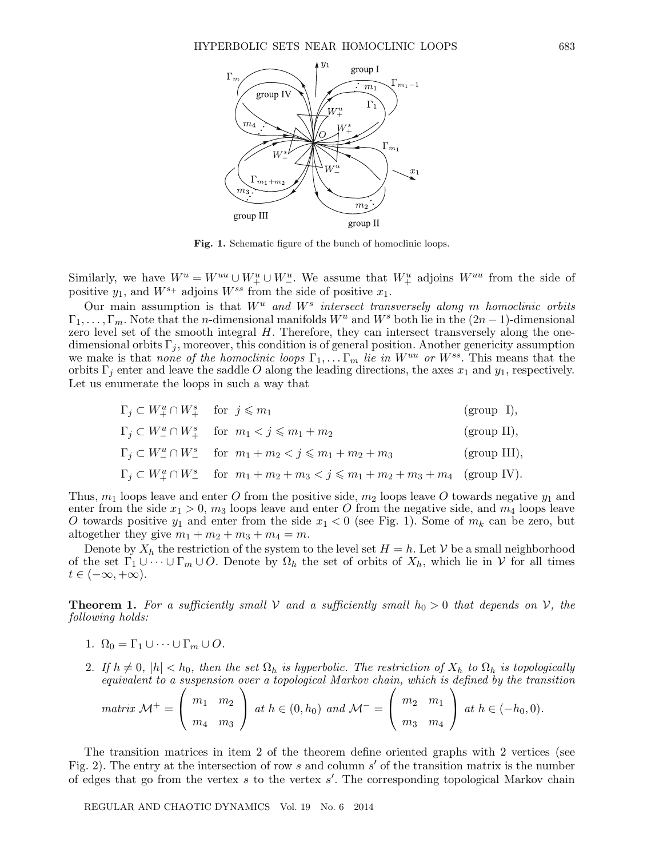

Fig. 1. Schematic figure of the bunch of homoclinic loops.

Similarly, we have  $W^u = W^{uu} \cup W^u_+ \cup W^u_-$ . We assume that  $W^u_+$  adjoins  $W^{uu}$  from the side of positive  $y_1$ , and  $W^{s_+}$  adjoins  $W^{ss}$  from the side of positive  $x_1$ .

Our main assumption is that  $W^u$  and  $W^s$  intersect transversely along m homoclinic orbits  $\Gamma_1,\ldots,\Gamma_m$ . Note that the *n*-dimensional manifolds  $W^u$  and  $W^s$  both lie in the  $(2n-1)$ -dimensional zero level set of the smooth integral  $H$ . Therefore, they can intersect transversely along the onedimensional orbits  $\Gamma_i$ , moreover, this condition is of general position. Another genericity assumption we make is that none of the homoclinic loops  $\Gamma_1, \ldots \Gamma_m$  lie in  $W^{uu}$  or  $W^{ss}$ . This means that the orbits  $\Gamma_i$  enter and leave the saddle O along the leading directions, the axes  $x_1$  and  $y_1$ , respectively. Let us enumerate the loops in such a way that

$$
\begin{aligned} &\Gamma_j\subset W_+^u\cap W_+^s\quad\text{ for }\;j\leqslant m_1\qquad&\text{(group I)},\\ &\Gamma_j\subset W_-^u\cap W_+^s\quad\text{ for }\;m_1
$$

Thus,  $m_1$  loops leave and enter O from the positive side,  $m_2$  loops leave O towards negative  $y_1$  and enter from the side  $x_1 > 0$ ,  $m_3$  loops leave and enter O from the negative side, and  $m_4$  loops leave O towards positive  $y_1$  and enter from the side  $x_1 < 0$  (see Fig. 1). Some of  $m_k$  can be zero, but altogether they give  $m_1 + m_2 + m_3 + m_4 = m$ .

Denote by  $X_h$  the restriction of the system to the level set  $H = h$ . Let V be a small neighborhood of the set  $\Gamma_1 \cup \cdots \cup \Gamma_m \cup O$ . Denote by  $\Omega_h$  the set of orbits of  $X_h$ , which lie in  $\mathcal V$  for all times  $t \in (-\infty, +\infty).$ 

**Theorem 1.** For a sufficiently small V and a sufficiently small  $h_0 > 0$  that depends on V, the following holds:

- 1.  $\Omega_0 = \Gamma_1 \cup \cdots \cup \Gamma_m \cup O$ .
- 2. If  $h \neq 0$ ,  $|h| < h_0$ , then the set  $\Omega_h$  is hyperbolic. The restriction of  $X_h$  to  $\Omega_h$  is topologically equivalent to a suspension over a topological Markov chain, which is defined by the transition

$$
matrix\ \mathcal{M}^+=\left(\begin{array}{cc}m_1&m_2\\m_4&m_3\end{array}\right)\ at\ h\in(0,h_0)\ and\ \mathcal{M}^-=\left(\begin{array}{cc}m_2&m_1\\m_3&m_4\end{array}\right)\ at\ h\in(-h_0,0).
$$

The transition matrices in item 2 of the theorem define oriented graphs with 2 vertices (see Fig. 2). The entry at the intersection of row s and column  $s'$  of the transition matrix is the number of edges that go from the vertex  $s$  to the vertex  $s'$ . The corresponding topological Markov chain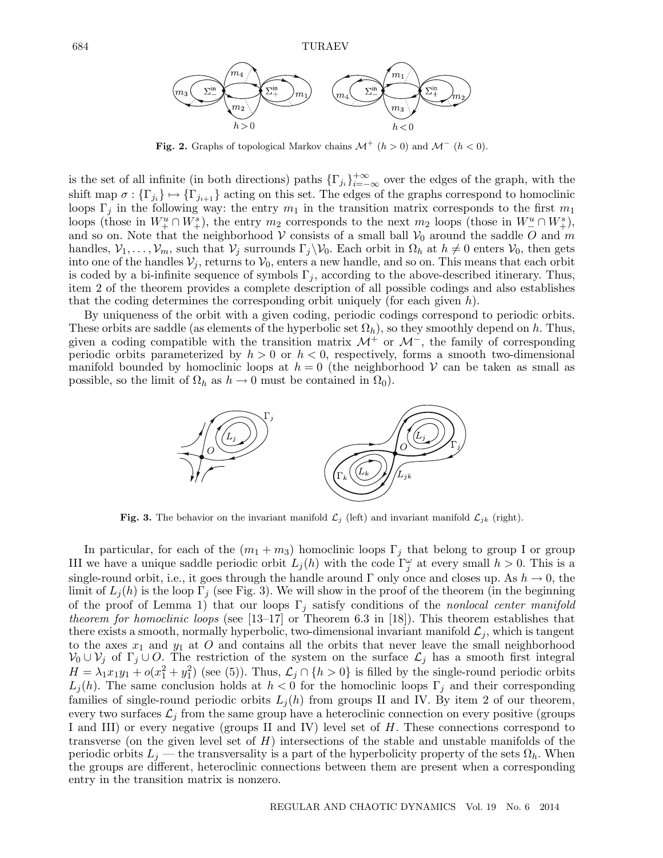

**Fig. 2.** Graphs of topological Markov chains  $\mathcal{M}^+$  ( $h > 0$ ) and  $\mathcal{M}^-$  ( $h < 0$ ).

is the set of all infinite (in both directions) paths  $\{\Gamma_{j_i}\}_{i=-\infty}^{+\infty}$  over the edges of the graph, with the shift map  $\sigma : \{\Gamma_{j_i}\} \mapsto \{\Gamma_{j_{i+1}}\}$  acting on this set. The edges of the graphs correspond to homoclinic loops  $\Gamma_j$  in the following way: the entry  $m_1$  in the transition matrix corresponds to the first  $m_1$ loops (those in  $W_+^u \cap W_+^s$ ), the entry  $m_2$  corresponds to the next  $m_2$  loops (those in  $W_-^u \cap W_+^s$ ), and so on. Note that the neighborhood V consists of a small ball  $V_0$  around the saddle O and m handles,  $V_1,\ldots,V_m$ , such that  $V_j$  surrounds  $\Gamma_j\backslash V_0$ . Each orbit in  $\Omega_h$  at  $h\neq 0$  enters  $V_0$ , then gets into one of the handles  $\mathcal{V}_j$ , returns to  $\mathcal{V}_0$ , enters a new handle, and so on. This means that each orbit is coded by a bi-infinite sequence of symbols  $\Gamma_i$ , according to the above-described itinerary. Thus, item 2 of the theorem provides a complete description of all possible codings and also establishes that the coding determines the corresponding orbit uniquely (for each given  $h$ ).

By uniqueness of the orbit with a given coding, periodic codings correspond to periodic orbits. These orbits are saddle (as elements of the hyperbolic set  $\Omega_h$ ), so they smoothly depend on h. Thus, given a coding compatible with the transition matrix  $\mathcal{M}^+$  or  $\mathcal{M}^-$ , the family of corresponding periodic orbits parameterized by  $h > 0$  or  $h < 0$ , respectively, forms a smooth two-dimensional manifold bounded by homoclinic loops at  $h = 0$  (the neighborhood V can be taken as small as possible, so the limit of  $\Omega_h$  as  $h \to 0$  must be contained in  $\Omega_0$ ).



**Fig. 3.** The behavior on the invariant manifold  $\mathcal{L}_j$  (left) and invariant manifold  $\mathcal{L}_{jk}$  (right).

In particular, for each of the  $(m_1 + m_3)$  homoclinic loops  $\Gamma_j$  that belong to group I or group III we have a unique saddle periodic orbit  $L_j(h)$  with the code  $\Gamma_j^{\omega}$  at every small  $h > 0$ . This is a single-round orbit, i.e., it goes through the handle around Γ only once and closes up. As  $h \to 0$ , the limit of  $L_i(h)$  is the loop  $\Gamma_i$  (see Fig. 3). We will show in the proof of the theorem (in the beginning of the proof of Lemma 1) that our loops  $\Gamma_j$  satisfy conditions of the nonlocal center manifold theorem for homoclinic loops (see [13–17] or Theorem 6.3 in [18]). This theorem establishes that there exists a smooth, normally hyperbolic, two-dimensional invariant manifold  $\mathcal{L}_i$ , which is tangent to the axes  $x_1$  and  $y_1$  at O and contains all the orbits that never leave the small neighborhood  $\mathcal{V}_0 \cup \mathcal{V}_j$  of  $\Gamma_j \cup O$ . The restriction of the system on the surface  $\mathcal{L}_j$  has a smooth first integral  $H = \lambda_1 x_1 y_1 + o(x_1^2 + y_1^2)$  (see (5)). Thus,  $\mathcal{L}_j \cap \{h > 0\}$  is filled by the single-round periodic orbits  $L_i(h)$ . The same conclusion holds at  $h < 0$  for the homoclinic loops  $\Gamma_i$  and their corresponding families of single-round periodic orbits  $L_j(h)$  from groups II and IV. By item 2 of our theorem, every two surfaces  $\mathcal{L}_i$  from the same group have a heteroclinic connection on every positive (groups I and III) or every negative (groups II and IV) level set of H. These connections correspond to transverse (on the given level set of  $H$ ) intersections of the stable and unstable manifolds of the periodic orbits  $L_j$  — the transversality is a part of the hyperbolicity property of the sets  $\Omega_h$ . When the groups are different, heteroclinic connections between them are present when a corresponding entry in the transition matrix is nonzero.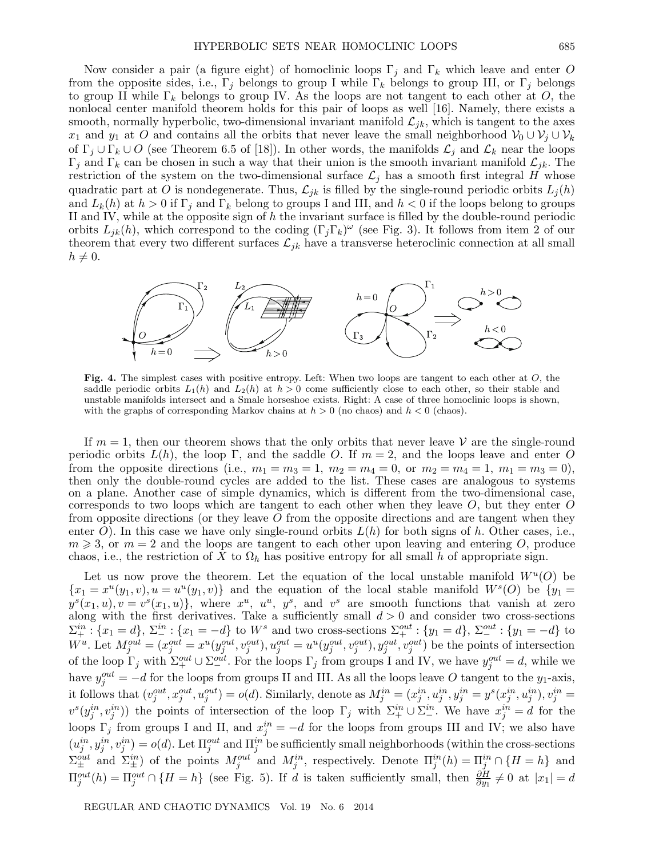Now consider a pair (a figure eight) of homoclinic loops  $\Gamma_j$  and  $\Gamma_k$  which leave and enter O from the opposite sides, i.e.,  $\Gamma_j$  belongs to group I while  $\Gamma_k$  belongs to group III, or  $\Gamma_j$  belongs to group II while  $\Gamma_k$  belongs to group IV. As the loops are not tangent to each other at O, the nonlocal center manifold theorem holds for this pair of loops as well [16]. Namely, there exists a smooth, normally hyperbolic, two-dimensional invariant manifold  $\mathcal{L}_{jk}$ , which is tangent to the axes  $x_1$  and  $y_1$  at O and contains all the orbits that never leave the small neighborhood  $V_0 \cup V_j \cup V_k$ of  $\Gamma_j \cup \Gamma_k \cup O$  (see Theorem 6.5 of [18]). In other words, the manifolds  $\mathcal{L}_j$  and  $\mathcal{L}_k$  near the loops  $\Gamma_j$  and  $\Gamma_k$  can be chosen in such a way that their union is the smooth invariant manifold  $\mathcal{L}_{jk}$ . The restriction of the system on the two-dimensional surface  $\mathcal{L}_j$  has a smooth first integral H whose quadratic part at O is nondegenerate. Thus,  $\mathcal{L}_{jk}$  is filled by the single-round periodic orbits  $L_j(h)$ and  $L_k(h)$  at  $h > 0$  if  $\Gamma_i$  and  $\Gamma_k$  belong to groups I and III, and  $h < 0$  if the loops belong to groups II and IV, while at the opposite sign of  $h$  the invariant surface is filled by the double-round periodic orbits  $L_{jk}(h)$ , which correspond to the coding  $(\Gamma_j \Gamma_k)^\omega$  (see Fig. 3). It follows from item 2 of our theorem that every two different surfaces  $\mathcal{L}_{jk}$  have a transverse heteroclinic connection at all small  $h \neq 0$ .



**Fig. 4.** The simplest cases with positive entropy. Left: When two loops are tangent to each other at O, the saddle periodic orbits  $L_1(h)$  and  $L_2(h)$  at  $h > 0$  come sufficiently close to each other, so their stable and unstable manifolds intersect and a Smale horseshoe exists. Right: A case of three homoclinic loops is shown, with the graphs of corresponding Markov chains at  $h > 0$  (no chaos) and  $h < 0$  (chaos).

If  $m = 1$ , then our theorem shows that the only orbits that never leave V are the single-round periodic orbits  $L(h)$ , the loop Γ, and the saddle O. If  $m = 2$ , and the loops leave and enter O from the opposite directions (i.e.,  $m_1 = m_3 = 1$ ,  $m_2 = m_4 = 0$ , or  $m_2 = m_4 = 1$ ,  $m_1 = m_3 = 0$ ), then only the double-round cycles are added to the list. These cases are analogous to systems on a plane. Another case of simple dynamics, which is different from the two-dimensional case, corresponds to two loops which are tangent to each other when they leave  $O$ , but they enter  $O$ from opposite directions (or they leave O from the opposite directions and are tangent when they enter O). In this case we have only single-round orbits  $L(h)$  for both signs of h. Other cases, i.e.,  $m \geq 3$ , or  $m = 2$  and the loops are tangent to each other upon leaving and entering O, produce chaos, i.e., the restriction of X to  $\Omega_h$  has positive entropy for all small h of appropriate sign.

Let us now prove the theorem. Let the equation of the local unstable manifold  $W^u(O)$  be  ${x_1 = x^u(y_1, v), u = u^u(y_1, v)}$  and the equation of the local stable manifold  $W<sup>s</sup>(O)$  be  ${y_1 = w$  $y^{s}(x_1, u), v = v^{s}(x_1, u)$ , where  $x^{u}, u^{u}, y^{s}$ , and  $v^{s}$  are smooth functions that vanish at zero along with the first derivatives. Take a sufficiently small  $d > 0$  and consider two cross-sections  $\Sigma^{in}_+$ : { $x_1 = d$ },  $\Sigma^{in}_-$ : { $x_1 = -d$ } to  $W^s$  and two cross-sections  $\Sigma^{out}_+$ : { $y_1 = d$ },  $\Sigma^{out}_-$ : { $y_1 = -d$ } to  $W^u$ . Let  $M_j^{out} = (x_j^{out} = x^u(y_j^{out}, v_j^{out}), u_j^{out} = u^u(y_j^{out}, v_j^{out}), y_j^{out}, v_j^{out})$  be the points of intersection of the loop  $\Gamma_j$  with  $\Sigma^{out}_{+} \cup \Sigma^{out}_{-}$ . For the loops  $\Gamma_j$  from groups I and IV, we have  $y_j^{out}=d$ , while we have  $y_j^{out} = -d$  for the loops from groups II and III. As all the loops leave O tangent to the  $y_1$ -axis, it follows that  $(v_j^{out}, x_j^{out}, u_j^{out}) = o(d)$ . Similarly, denote as  $M_j^{in} = (x_j^{in}, u_j^{in}, y_j^{in} = y^s(x_j^{in}, u_j^{in}), v_j^{in} = o(d)$ .  $v^s(y_j^{in}, v_j^{in})$  the points of intersection of the loop  $\Gamma_j$  with  $\Sigma^{in}_{+} \cup \Sigma^{in}_{-}$ . We have  $x_j^{in} = d$  for the loops  $\Gamma_j$  from groups I and II, and  $x_j^{in} = -d$  for the loops from groups III and IV; we also have  $(u_j^{in}, y_j^{in}, v_j^{in}) = o(d)$ . Let  $\Pi_j^{out}$  and  $\Pi_j^{in}$  be sufficiently small neighborhoods (within the cross-sections  $\Sigma^{out}_{\pm}$  and  $\Sigma^{in}_{\pm}$ ) of the points  $M_j^{out}$  and  $M_j^{in}$ , respectively. Denote  $\Pi^{in}_j(h) = \Pi^{in}_j \cap \{H = h\}$  and  $\Pi_j^{out}(h) = \Pi_j^{out} \cap \{H = h\}$  (see Fig. 5). If d is taken sufficiently small, then  $\frac{\partial H}{\partial y_1} \neq 0$  at  $|x_1| = d$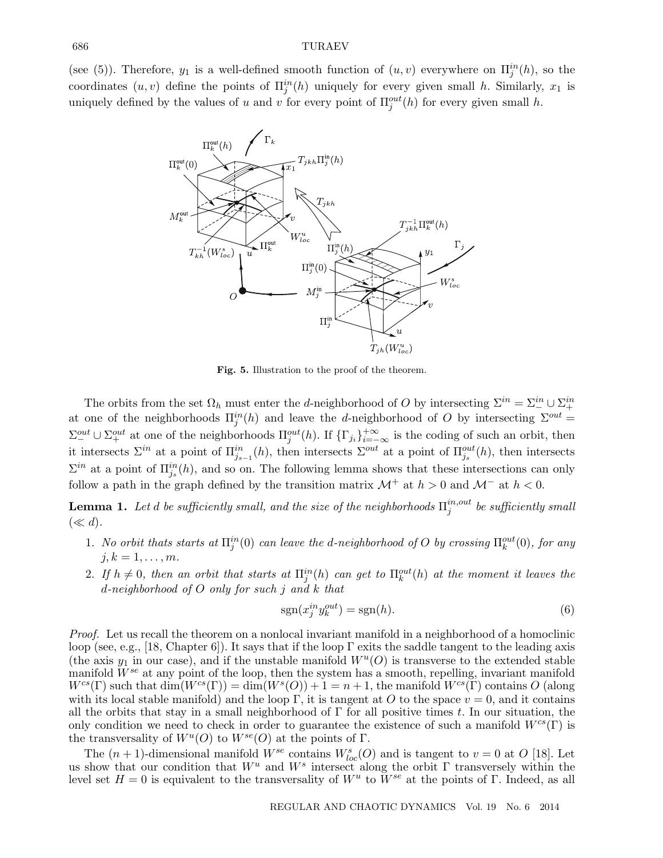(see (5)). Therefore,  $y_1$  is a well-defined smooth function of  $(u, v)$  everywhere on  $\Pi_j^{in}(h)$ , so the coordinates  $(u, v)$  define the points of  $\Pi_j^{in}(h)$  uniquely for every given small h. Similarly,  $x_1$  is uniquely defined by the values of u and v for every point of  $\Pi_j^{out}(h)$  for every given small h.



**Fig. 5.** Illustration to the proof of the theorem.

The orbits from the set  $\Omega_h$  must enter the d-neighborhood of O by intersecting  $\Sigma^{in} = \Sigma^{in}_- \cup \Sigma^{in}_+$ at one of the neighborhoods  $\Pi_j^{in}(h)$  and leave the d-neighborhood of O by intersecting  $\Sigma^{out}$  =  $\Sigma^{out}_{-} \cup \Sigma^{out}_{+}$  at one of the neighborhoods  $\Pi^{out}_{j}(h)$ . If  $\{\Gamma_{j_i}\}_{i=-\infty}^{+\infty}$  is the coding of such an orbit, then it intersects  $\Sigma^{in}$  at a point of  $\Pi^{in}_{j_{s-1}}(h)$ , then intersects  $\Sigma^{out}$  at a point of  $\Pi^{out}_{j_s}(h)$ , then intersects  $\Sigma^{in}$  at a point of  $\Pi_{j_s}^{in}(h)$ , and so on. The following lemma shows that these intersections can only follow a path in the graph defined by the transition matrix  $\mathcal{M}^+$  at  $h > 0$  and  $\mathcal{M}^-$  at  $h < 0$ .

**Lemma 1.** Let  $d$  be sufficiently small, and the size of the neighborhoods  $\Pi^{in,out}_j$  be sufficiently small  $(\ll d).$ 

- 1. No orbit thats starts at  $\Pi^{in}_j(0)$  can leave the d-neighborhood of O by crossing  $\Pi^{out}_k(0)$ , for any  $j, k = 1, \ldots, m$ .
- 2. If  $h \neq 0$ , then an orbit that starts at  $\Pi_j^{in}(h)$  can get to  $\Pi_k^{out}(h)$  at the moment it leaves the d-neighborhood of O only for such j and k that

$$
sgn(x_j^{in}y_k^{out}) = sgn(h). \tag{6}
$$

Proof. Let us recall the theorem on a nonlocal invariant manifold in a neighborhood of a homoclinic loop (see, e.g., [18, Chapter 6]). It says that if the loop  $\Gamma$  exits the saddle tangent to the leading axis (the axis  $y_1$  in our case), and if the unstable manifold  $W^u(O)$  is transverse to the extended stable manifold  $W^{se}$  at any point of the loop, then the system has a smooth, repelling, invariant manifold  $W^{cs}(\Gamma)$  such that  $\dim(W^{cs}(\Gamma)) = \dim(W^s(O)) + 1 = n + 1$ , the manifold  $W^{cs}(\Gamma)$  contains O (along with its local stable manifold) and the loop Γ, it is tangent at O to the space  $v = 0$ , and it contains all the orbits that stay in a small neighborhood of  $\Gamma$  for all positive times t. In our situation, the only condition we need to check in order to guarantee the existence of such a manifold  $W^{cs}(\Gamma)$  is the transversality of  $W^u(O)$  to  $W^{se}(O)$  at the points of  $\Gamma$ .

The  $(n+1)$ -dimensional manifold  $W^{se}$  contains  $W^{s}_{loc}(O)$  and is tangent to  $v = 0$  at  $O$  [18]. Let us show that our condition that  $W^u$  and  $W^s$  intersect along the orbit Γ transversely within the level set  $H = 0$  is equivalent to the transversality of  $W^u$  to  $\tilde{W}^{se}$  at the points of Γ. Indeed, as all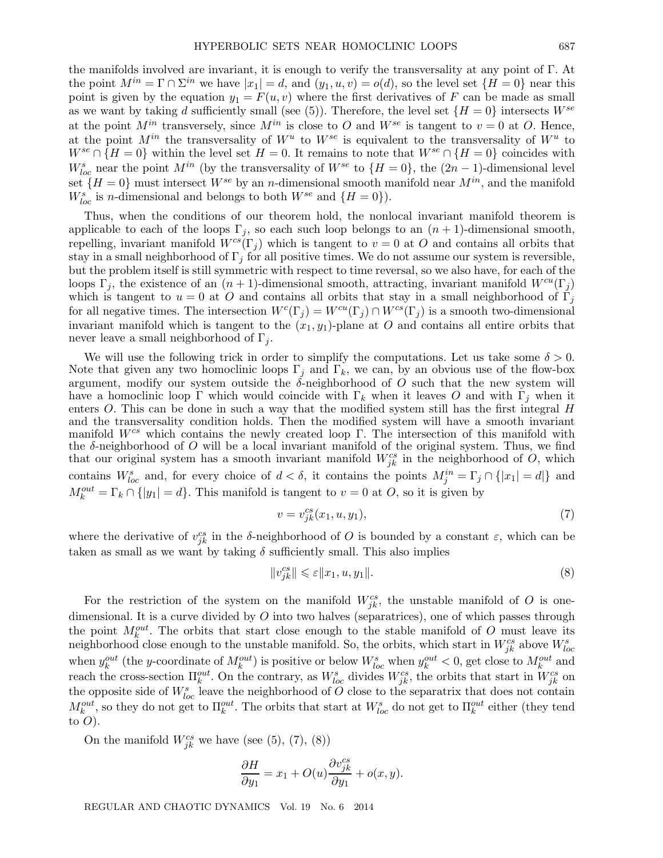the manifolds involved are invariant, it is enough to verify the transversality at any point of Γ. At the point  $M^{in} = \Gamma \cap \Sigma^{in}$  we have  $|x_1| = d$ , and  $(y_1, u, v) = o(d)$ , so the level set  $\{H = 0\}$  near this point is given by the equation  $y_1 = F(u, v)$  where the first derivatives of F can be made as small as we want by taking d sufficiently small (see (5)). Therefore, the level set  $\{H=0\}$  intersects  $W^{se}$ at the point  $M^{in}$  transversely, since  $M^{in}$  is close to O and  $W^{se}$  is tangent to  $v = 0$  at O. Hence, at the point  $M^{in}$  the transversality of  $W^u$  to  $W^{se}$  is equivalent to the transversality of  $W^u$  to  $W^{se} \cap \{H=0\}$  within the level set  $H=0$ . It remains to note that  $W^{se} \cap \{H=0\}$  coincides with  $W_{loc}^s$  near the point  $M^{in}$  (by the transversality of  $W^{se}$  to  $\{H=0\}$ , the  $(2n-1)$ -dimensional level set  $\{H=0\}$  must intersect  $W^{se}$  by an *n*-dimensional smooth manifold near  $M^{in}$ , and the manifold  $W_{loc}^s$  is *n*-dimensional and belongs to both  $W^{se}$  and  $\{H=0\}$ ).

Thus, when the conditions of our theorem hold, the nonlocal invariant manifold theorem is applicable to each of the loops  $\Gamma_j$ , so each such loop belongs to an  $(n+1)$ -dimensional smooth, repelling, invariant manifold  $W^{cs}(\Gamma_i)$  which is tangent to  $v = 0$  at O and contains all orbits that stay in a small neighborhood of  $\Gamma_i$  for all positive times. We do not assume our system is reversible, but the problem itself is still symmetric with respect to time reversal, so we also have, for each of the loops  $\Gamma_j$ , the existence of an  $(n+1)$ -dimensional smooth, attracting, invariant manifold  $W^{cu}(\Gamma_j)$ which is tangent to  $u = 0$  at O and contains all orbits that stay in a small neighborhood of  $\Gamma_j$ for all negative times. The intersection  $W^c(\Gamma_i) = W^{cu}(\Gamma_i) \cap W^{cs}(\Gamma_i)$  is a smooth two-dimensional invariant manifold which is tangent to the  $(x_1, y_1)$ -plane at O and contains all entire orbits that never leave a small neighborhood of  $\Gamma_i$ .

We will use the following trick in order to simplify the computations. Let us take some  $\delta > 0$ . Note that given any two homoclinic loops  $\Gamma_i$  and  $\Gamma_k$ , we can, by an obvious use of the flow-box argument, modify our system outside the  $\delta$ -neighborhood of O such that the new system will have a homoclinic loop Γ which would coincide with Γ<sub>k</sub> when it leaves O and with Γ<sub>i</sub> when it enters O. This can be done in such a way that the modified system still has the first integral H and the transversality condition holds. Then the modified system will have a smooth invariant manifold  $W^{cs}$  which contains the newly created loop Γ. The intersection of this manifold with the  $\delta$ -neighborhood of O will be a local invariant manifold of the original system. Thus, we find that our original system has a smooth invariant manifold  $W_{jk}^{cs}$  in the neighborhood of  $\hat{O}$ , which contains  $W_{loc}^s$  and, for every choice of  $d < \delta$ , it contains the points  $M_j^{in} = \Gamma_j \cap \{|x_1| = d|\}$  and  $M_k^{out} = \Gamma_k \cap \{|y_1| = d\}$ . This manifold is tangent to  $v = 0$  at O, so it is given by

$$
v = v_{jk}^{cs}(x_1, u, y_1),\tag{7}
$$

where the derivative of  $v_{jk}^{cs}$  in the δ-neighborhood of O is bounded by a constant  $\varepsilon$ , which can be taken as small as we want by taking  $\delta$  sufficiently small. This also implies

$$
||v_{jk}^{cs}|| \leqslant \varepsilon ||x_1, u, y_1||. \tag{8}
$$

For the restriction of the system on the manifold  $W_{jk}^{cs}$ , the unstable manifold of O is onedimensional. It is a curve divided by  $O$  into two halves (separatrices), one of which passes through the point  $M_k^{out}$ . The orbits that start close enough to the stable manifold of O must leave its neighborhood close enough to the unstable manifold. So, the orbits, which start in  $W_{jk}^{cs}$  above  $W_{loc}^s$ when  $y_k^{out}$  (the y-coordinate of  $M_k^{out}$ ) is positive or below  $W_{loc}^s$  when  $y_k^{out} < 0$ , get close to  $M_k^{out}$  and reach the cross-section  $\Pi_k^{out}$ . On the contrary, as  $W_{loc}^s$  divides  $W_{jk}^{cs}$ , the orbits that start in  $W_{jk}^{cs}$  on the opposite side of  $W_{loc}^s$  leave the neighborhood of O close to the separatrix that does not contain  $M_k^{out}$ , so they do not get to  $\Pi_k^{out}$ . The orbits that start at  $W_{loc}^s$  do not get to  $\Pi_k^{out}$  either (they tend to  $O$ ).

On the manifold  $W_{jk}^{cs}$  we have (see (5), (7), (8))

$$
\frac{\partial H}{\partial y_1} = x_1 + O(u) \frac{\partial v_{jk}^{cs}}{\partial y_1} + o(x, y).
$$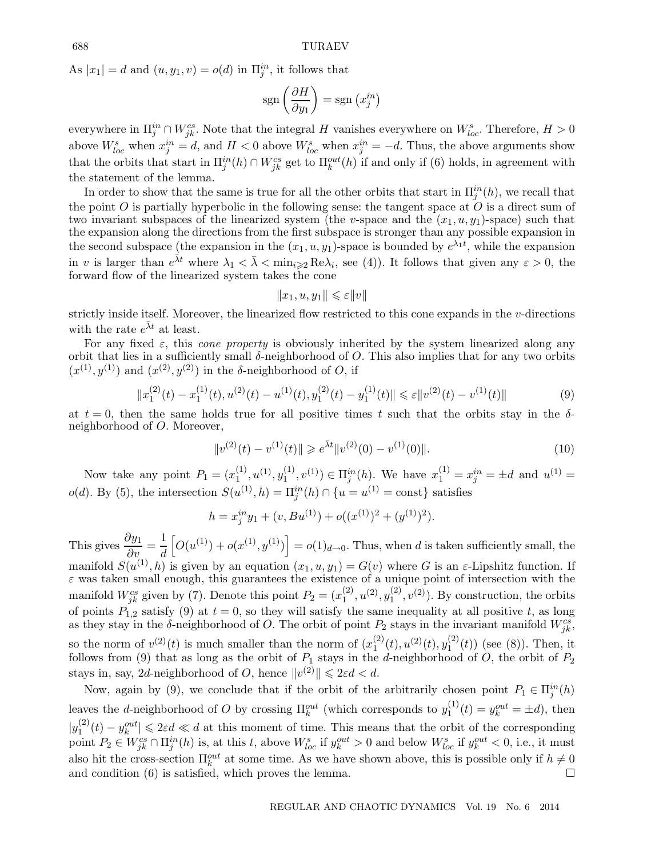As  $|x_1| = d$  and  $(u, y_1, v) = o(d)$  in  $\prod_j^{in}$ , it follows that

$$
sgn\left(\frac{\partial H}{\partial y_1}\right) = sgn\left(x_j^{in}\right)
$$

everywhere in  $\Pi_j^{in} \cap W_{jk}^{cs}$ . Note that the integral H vanishes everywhere on  $W_{loc}^s$ . Therefore,  $H > 0$ above  $W_{loc}^s$  when  $x_j^{in} = d$ , and  $H < 0$  above  $W_{loc}^s$  when  $x_j^{in} = -d$ . Thus, the above arguments show that the orbits that start in  $\Pi_j^{in}(h) \cap W_{jk}^{cs}$  get to  $\Pi_k^{out}(h)$  if and only if (6) holds, in agreement with the statement of the lemma.

In order to show that the same is true for all the other orbits that start in  $\Pi^{in}_j(h)$ , we recall that the point  $O$  is partially hyperbolic in the following sense: the tangent space at  $O$  is a direct sum of two invariant subspaces of the linearized system (the v-space and the  $(x_1, u, y_1)$ -space) such that the expansion along the directions from the first subspace is stronger than any possible expansion in the second subspace (the expansion in the  $(x_1, u, y_1)$ -space is bounded by  $e^{\lambda_1 t}$ , while the expansion in v is larger than  $e^{\bar{\lambda}t}$  where  $\lambda_1 < \bar{\lambda} < \min_{i \geq 2} \text{Re}\lambda_i$ , see (4)). It follows that given any  $\varepsilon > 0$ , the forward flow of the linearized system takes the cone

$$
||x_1, u, y_1|| \leqslant \varepsilon ||v||
$$

strictly inside itself. Moreover, the linearized flow restricted to this cone expands in the v-directions with the rate  $e^{\bar{\lambda}t}$  at least.

For any fixed  $\varepsilon$ , this *cone property* is obviously inherited by the system linearized along any orbit that lies in a sufficiently small  $\delta$ -neighborhood of  $O$ . This also implies that for any two orbits  $(x^{(1)},y^{(1)})$  and  $(x^{(2)},y^{(2)})$  in the  $\delta$ -neighborhood of O, if

$$
||x_1^{(2)}(t) - x_1^{(1)}(t), u^{(2)}(t) - u^{(1)}(t), y_1^{(2)}(t) - y_1^{(1)}(t)|| \le \varepsilon ||v^{(2)}(t) - v^{(1)}(t)||
$$
\n(9)

at  $t = 0$ , then the same holds true for all positive times t such that the orbits stay in the  $\delta$ neighborhood of O. Moreover,

$$
||v^{(2)}(t) - v^{(1)}(t)|| \ge e^{\bar{\lambda}t} ||v^{(2)}(0) - v^{(1)}(0)||. \tag{10}
$$

Now take any point  $P_1 = (x_1^{(1)}, u^{(1)}, y_1^{(1)}, v^{(1)}) \in \Pi_j^{in}(h)$ . We have  $x_1^{(1)} = x_j^{in} = \pm d$  and  $u^{(1)} =$  $o(d)$ . By (5), the intersection  $S(u^{(1)}, h) = \prod_{j=1}^{in} (h) \cap \{u = u^{(1)} = \text{const}\}\$  satisfies

$$
h = x_j^{in} y_1 + (v, Bu^{(1)}) + o((x^{(1)})^2 + (y^{(1)})^2).
$$

This gives  $\frac{\partial y_1}{\partial v} = \frac{1}{d}$  $\left[O(u^{(1)})+o(x^{(1)},y^{(1)})\right]=o(1)<sub>d\rightarrow0</sub>$ . Thus, when d is taken sufficiently small, the manifold  $S(u^{(1)},h)$  is given by an equation  $(x_1,u,y_1) = G(v)$  where G is an  $\varepsilon$ -Lipshitz function. If  $\varepsilon$  was taken small enough, this guarantees the existence of a unique point of intersection with the manifold  $W_{jk}^{cs}$  given by (7). Denote this point  $P_2 = (x_1^{(2)}, u^{(2)}, y_1^{(2)}, v^{(2)})$ . By construction, the orbits of points  $P_{1,2}$  satisfy (9) at  $t = 0$ , so they will satisfy the same inequality at all positive t, as long as they stay in the  $\delta$ -neighborhood of O. The orbit of point  $P_2$  stays in the invariant manifold  $W_{jk}^{cs}$ , so the norm of  $v^{(2)}(t)$  is much smaller than the norm of  $(x_1^{(2)}(t),u^{(2)}(t),y_1^{(2)}(t))$  (see (8)). Then, it follows from (9) that as long as the orbit of  $P_1$  stays in the *d*-neighborhood of O, the orbit of  $P_2$ stays in, say, 2d-neighborhood of O, hence  $||v^{(2)}|| \le 2\varepsilon d < d$ .

Now, again by (9), we conclude that if the orbit of the arbitrarily chosen point  $P_1 \in \Pi_j^{in}(h)$ leaves the d-neighborhood of O by crossing  $\Pi_k^{out}$  (which corresponds to  $y_1^{(1)}(t) = y_k^{out} = \pm d$ ), then  $|y_1^{(2)}(t) - y_k^{out}| \le 2\varepsilon d \ll d$  at this moment of time. This means that the orbit of the corresponding point  $P_2 \in W_{jk}^{cs} \cap \prod_{j}^{in}(h)$  is, at this t, above  $W_{loc}^s$  if  $y_k^{out} > 0$  and below  $W_{loc}^s$  if  $y_k^{out} < 0$ , i.e., it must also hit the cross-section  $\Pi_k^{out}$  at some time. As we have shown above, this is possible only if  $h \neq 0$ and condition (6) is satisfied, which proves the lemma.  $\Box$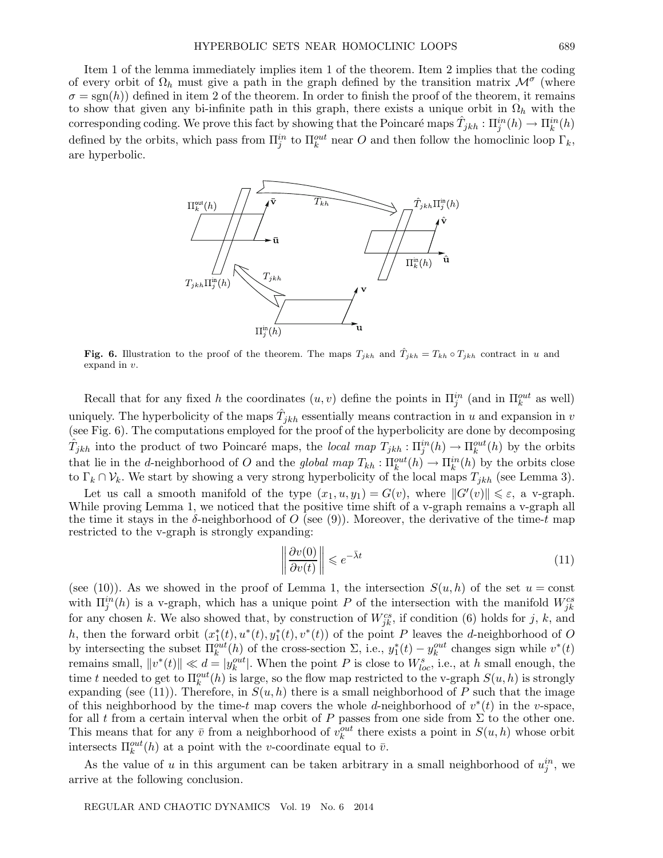Item 1 of the lemma immediately implies item 1 of the theorem. Item 2 implies that the coding of every orbit of  $\Omega_h$  must give a path in the graph defined by the transition matrix  $\mathcal{M}^{\sigma}$  (where  $\sigma = sgn(h)$  defined in item 2 of the theorem. In order to finish the proof of the theorem, it remains to show that given any bi-infinite path in this graph, there exists a unique orbit in  $\Omega_h$  with the corresponding coding. We prove this fact by showing that the Poincaré maps  $\hat{T}_{jkh} : \Pi^{in}_j(h) \to \Pi^{in}_k(h)$ defined by the orbits, which pass from  $\Pi_j^{in}$  to  $\Pi_k^{out}$  near O and then follow the homoclinic loop  $\Gamma_k$ , are hyperbolic.



**Fig. 6.** Illustration to the proof of the theorem. The maps  $T_{jkh}$  and  $\hat{T}_{jkh} = T_{kh} \circ T_{jkh}$  contract in u and expand in v.

Recall that for any fixed h the coordinates  $(u, v)$  define the points in  $\Pi_j^{in}$  (and in  $\Pi_k^{out}$  as well) uniquely. The hyperbolicity of the maps  $\hat{T}_{jkh}$  essentially means contraction in u and expansion in v (see Fig. 6). The computations employed for the proof of the hyperbolicity are done by decomposing  $\hat{T}_{jkh}$  into the product of two Poincaré maps, the local map  $T_{jkh} : \Pi_j^{in}(h) \to \Pi_k^{out}(h)$  by the orbits that lie in the d-neighborhood of O and the global map  $T_{kh} : \Pi_k^{out}(h) \to \Pi_k^{in}(h)$  by the orbits close to  $\Gamma_k \cap \mathcal{V}_k$ . We start by showing a very strong hyperbolicity of the local maps  $T_{jkh}$  (see Lemma 3).

Let us call a smooth manifold of the type  $(x_1, u, y_1) = G(v)$ , where  $||G'(v)|| \leq \varepsilon$ , a v-graph. While proving Lemma 1, we noticed that the positive time shift of a v-graph remains a v-graph all the time it stays in the  $\delta$ -neighborhood of O (see (9)). Moreover, the derivative of the time-t map restricted to the v-graph is strongly expanding:

$$
\left\|\frac{\partial v(0)}{\partial v(t)}\right\| \leqslant e^{-\bar{\lambda}t} \tag{11}
$$

(see (10)). As we showed in the proof of Lemma 1, the intersection  $S(u,h)$  of the set  $u = \text{const}$ with  $\Pi_j^{in}(h)$  is a v-graph, which has a unique point P of the intersection with the manifold  $W_{jk}^{cs}$ for any chosen k. We also showed that, by construction of  $W_{jk}^{cs}$ , if condition (6) holds for j, k, and h, then the forward orbit  $(x_1^*(t), u^*(t), y_1^*(t), v^*(t))$  of the point P leaves the d-neighborhood of O by intersecting the subset  $\Pi_k^{out}(h)$  of the cross-section  $\Sigma$ , i.e.,  $y_1^*(t) - y_k^{out}$  changes sign while  $v^*(t)$ remains small,  $||v^*(t)|| \ll d = |y_k^{out}|$ . When the point P is close to  $W_{loc}^s$ , i.e., at h small enough, the time t needed to get to  $\Pi_k^{out}(h)$  is large, so the flow map restricted to the v-graph  $S(u, h)$  is strongly expanding (see (11)). Therefore, in  $S(u, h)$  there is a small neighborhood of P such that the image of this neighborhood by the time-t map covers the whole d-neighborhood of  $v^*(t)$  in the v-space, for all t from a certain interval when the orbit of P passes from one side from  $\Sigma$  to the other one. This means that for any  $\bar{v}$  from a neighborhood of  $v_k^{out}$  there exists a point in  $S(u, h)$  whose orbit intersects  $\Pi_k^{out}(h)$  at a point with the *v*-coordinate equal to  $\bar{v}$ .

As the value of u in this argument can be taken arbitrary in a small neighborhood of  $u_j^{in}$ , we arrive at the following conclusion.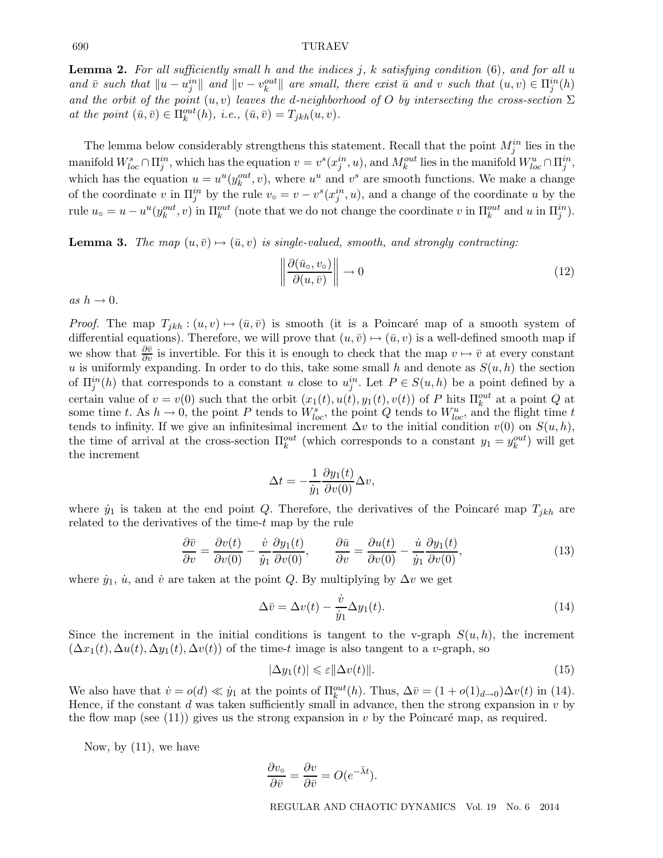#### 690 TURAEV

**Lemma 2.** For all sufficiently small h and the indices  $j$ ,  $k$  satisfying condition  $(6)$ , and for all  $u$ and  $\bar{v}$  such that  $||u - u_j^{in}||$  and  $||v - v_k^{out}||$  are small, there exist  $\bar{u}$  and v such that  $(u, v) \in \Pi_j^{in}(h)$ and the orbit of the point  $(u, v)$  leaves the d-neighborhood of O by intersecting the cross-section  $\Sigma$ at the point  $(\bar{u}, \bar{v}) \in \Pi_k^{out}(h)$ , i.e.,  $(\bar{u}, \bar{v}) = T_{jkh}(u, v)$ .

The lemma below considerably strengthens this statement. Recall that the point  $M_j^{in}$  lies in the manifold  $W^s_{loc} \cap \Pi^{in}_j$ , which has the equation  $v = v^s(x_j^{in}, u)$ , and  $M_k^{out}$  lies in the manifold  $W^u_{loc} \cap \Pi^{in}_j$ , which has the equation  $u = u^u(y_k^{out}, v)$ , where  $u^u$  and  $v^s$  are smooth functions. We make a change of the coordinate v in  $\Pi_j^{in}$  by the rule  $v_0 = v - v^s(x_j^{in}, u)$ , and a change of the coordinate u by the rule  $u_0 = u - u^u(y_k^{out}, v)$  in  $\Pi_k^{out}$  (note that we do not change the coordinate v in  $\Pi_k^{out}$  and u in  $\Pi_j^{in}$ ).

**Lemma 3.** The map  $(u, \bar{v}) \mapsto (\bar{u}, v)$  is single-valued, smooth, and strongly contracting:

$$
\left\| \frac{\partial(\bar{u}_o, v_o)}{\partial(u, \bar{v})} \right\| \to 0 \tag{12}
$$

as  $h \rightarrow 0$ .

*Proof.* The map  $T_{jkh}$ :  $(u, v) \mapsto (\bar{u}, \bar{v})$  is smooth (it is a Poincaré map of a smooth system of differential equations). Therefore, we will prove that  $(u, \bar{v}) \mapsto (\bar{u}, v)$  is a well-defined smooth map if we show that  $\frac{\partial \bar{v}}{\partial v}$  is invertible. For this it is enough to check that the map  $v \mapsto \bar{v}$  at every constant u is uniformly expanding. In order to do this, take some small h and denote as  $S(u, h)$  the section of  $\Pi^{in}_{j}(h)$  that corresponds to a constant u close to  $u^{in}_{j}$ . Let  $P \in S(u,h)$  be a point defined by a certain value of  $v = v(0)$  such that the orbit  $(x_1(t), u(t), y_1(t), v(t))$  of P hits  $\Pi_k^{out}$  at a point Q at some time t. As  $h \to 0$ , the point P tends to  $W_{loc}^s$ , the point Q tends to  $W_{loc}^u$ , and the flight time t tends to infinity. If we give an infinitesimal increment  $\Delta v$  to the initial condition  $v(0)$  on  $S(u,h)$ , the time of arrival at the cross-section  $\Pi_k^{out}$  (which corresponds to a constant  $y_1 = y_k^{out}$ ) will get the increment

$$
\Delta t = -\frac{1}{\dot{y}_1} \frac{\partial y_1(t)}{\partial v(0)} \Delta v,
$$

where  $\dot{y}_1$  is taken at the end point Q. Therefore, the derivatives of the Poincaré map  $T_{jkh}$  are related to the derivatives of the time- $t$  map by the rule

$$
\frac{\partial \bar{v}}{\partial v} = \frac{\partial v(t)}{\partial v(0)} - \frac{\dot{v}}{\dot{y}_1} \frac{\partial y_1(t)}{\partial v(0)}, \qquad \frac{\partial \bar{u}}{\partial v} = \frac{\partial u(t)}{\partial v(0)} - \frac{\dot{u}}{\dot{y}_1} \frac{\partial y_1(t)}{\partial v(0)},
$$
(13)

where  $\dot{y}_1$ ,  $\dot{u}$ , and  $\dot{v}$  are taken at the point Q. By multiplying by  $\Delta v$  we get

$$
\Delta \bar{v} = \Delta v(t) - \frac{\dot{v}}{\dot{y}_1} \Delta y_1(t). \tag{14}
$$

Since the increment in the initial conditions is tangent to the v-graph  $S(u, h)$ , the increment  $(\Delta x_1(t), \Delta u(t), \Delta y_1(t), \Delta v(t))$  of the time-t image is also tangent to a v-graph, so

$$
|\Delta y_1(t)| \leq \varepsilon ||\Delta v(t)||. \tag{15}
$$

We also have that  $\dot{v} = o(d) \ll \dot{y}_1$  at the points of  $\Pi_k^{out}(h)$ . Thus,  $\Delta \bar{v} = (1 + o(1)_{d \to 0})\Delta v(t)$  in (14). Hence, if the constant d was taken sufficiently small in advance, then the strong expansion in  $v$  by the flow map (see (11)) gives us the strong expansion in v by the Poincaré map, as required.

Now, by (11), we have

$$
\frac{\partial v_{\circ}}{\partial \bar{v}} = \frac{\partial v}{\partial \bar{v}} = O(e^{-\bar{\lambda}t}).
$$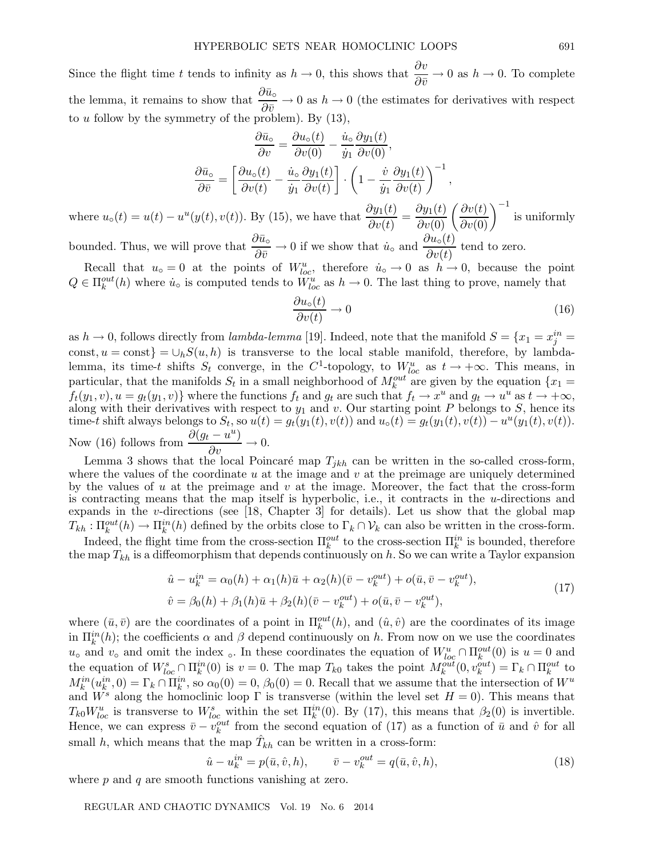Since the flight time t tends to infinity as  $h \to 0$ , this shows that  $\frac{\partial v}{\partial \bar{v}} \to 0$  as  $h \to 0$ . To complete the lemma, it remains to show that  $\frac{\partial \bar{u}_{\circ}}{\partial \bar{v}} \to 0$  as  $h \to 0$  (the estimates for derivatives with respect to  $u$  follow by the symmetry of the problem). By  $(13)$ ,

$$
\frac{\partial \bar{u}_{\circ}}{\partial v} = \frac{\partial u_{\circ}(t)}{\partial v(0)} - \frac{\dot{u}_{\circ}}{\dot{y}_{1}} \frac{\partial y_{1}(t)}{\partial v(0)},
$$

$$
\frac{\partial \bar{u}_{\circ}}{\partial \bar{v}} = \left[ \frac{\partial u_{\circ}(t)}{\partial v(t)} - \frac{\dot{u}_{\circ}}{\dot{y}_{1}} \frac{\partial y_{1}(t)}{\partial v(t)} \right] \cdot \left( 1 - \frac{\dot{v}}{\dot{y}_{1}} \frac{\partial y_{1}(t)}{\partial v(t)} \right)^{-1},
$$

where  $u_0(t) = u(t) - u^u(y(t), v(t))$ . By (15), we have that  $\frac{\partial y_1(t)}{\partial v(t)} = \frac{\partial y_1(t)}{\partial v(0)} \left(\frac{\partial v(t)}{\partial v(0)}\right)^{-1}$  is uniformly bounded. Thus, we will prove that  $\frac{\partial \bar{u}_{\circ}}{\partial \bar{v}} \to 0$  if we show that  $\dot{u}_{\circ}$  and  $\frac{\partial u_{\circ}(t)}{\partial v(t)}$  tend to zero.

Recall that  $u_0 = 0$  at the points of  $W_{loc}^u$ , therefore  $\dot{u}_0 \to 0$  as  $\dot{h} \to 0$ , because the point  $Q \in \Pi_k^{out}(h)$  where  $\dot{u}_o$  is computed tends to  $\dot{W}_{loc}^u$  as  $h \to 0$ . The last thing to prove, namely that

$$
\frac{\partial u_{\circ}(t)}{\partial v(t)} \to 0 \tag{16}
$$

as  $h \to 0$ , follows directly from lambda-lemma [19]. Indeed, note that the manifold  $S = \{x_1 = x_j^{in} =$ const,  $u = \text{const}$  =  $\cup_h S(u, h)$  is transverse to the local stable manifold, therefore, by lambdalemma, its time-t shifts  $S_t$  converge, in the C<sup>1</sup>-topology, to  $W_{loc}^u$  as  $t \to +\infty$ . This means, in particular, that the manifolds  $S_t$  in a small neighborhood of  $M_k^{out}$  are given by the equation  $\{x_1 =$  $f_t(y_1,v), u = g_t(y_1,v)$  where the functions  $f_t$  and  $g_t$  are such that  $f_t \to x^u$  and  $g_t \to u^u$  as  $t \to +\infty$ , along with their derivatives with respect to  $y_1$  and v. Our starting point P belongs to S, hence its time-t shift always belongs to  $S_t$ , so  $u(t) = g_t(y_1(t), v(t))$  and  $u_\circ(t) = g_t(y_1(t), v(t)) - u^u(y_1(t), v(t))$ . Now (16) follows from  $\frac{\partial (g_t - u^u)}{\partial v} \to 0$ .

Lemma 3 shows that the local Poincaré map  $T_{jkh}$  can be written in the so-called cross-form, where the values of the coordinate  $u$  at the image and  $v$  at the preimage are uniquely determined by the values of u at the preimage and v at the image. Moreover, the fact that the cross-form is contracting means that the map itself is hyperbolic, i.e., it contracts in the u-directions and expands in the v-directions (see [18, Chapter 3] for details). Let us show that the global map  $T_{kh}: \Pi_k^{out}(h) \to \Pi_k^{in}(h)$  defined by the orbits close to  $\Gamma_k \cap \mathcal{V}_k$  can also be written in the cross-form.

Indeed, the flight time from the cross-section  $\Pi_k^{out}$  to the cross-section  $\Pi_k^{in}$  is bounded, therefore the map  $T_{kh}$  is a diffeomorphism that depends continuously on h. So we can write a Taylor expansion

$$
\hat{u} - u_k^{in} = \alpha_0(h) + \alpha_1(h)\bar{u} + \alpha_2(h)(\bar{v} - v_k^{out}) + o(\bar{u}, \bar{v} - v_k^{out}),
$$
  
\n
$$
\hat{v} = \beta_0(h) + \beta_1(h)\bar{u} + \beta_2(h)(\bar{v} - v_k^{out}) + o(\bar{u}, \bar{v} - v_k^{out}),
$$
\n(17)

where  $(\bar{u}, \bar{v})$  are the coordinates of a point in  $\Pi_k^{out}(h)$ , and  $(\hat{u}, \hat{v})$  are the coordinates of its image in  $\Pi_k^{in}(h)$ ; the coefficients  $\alpha$  and  $\beta$  depend continuously on h. From now on we use the coordinates  $u_0$  and  $v_0$  and omit the index <sub>0</sub>. In these coordinates the equation of  $W_{loc}^u \cap \Pi_k^{out}(0)$  is  $u = 0$  and the equation of  $W_{loc}^s \cap \Pi_k^{in}(0)$  is  $v = 0$ . The map  $T_{k0}$  takes the point  $M_k^{out}(0, v_k^{out}) = \Gamma_k \cap \Pi_k^{out}$  to  $M_k^{in}(u_k^{in},0) = \Gamma_k \cap \Pi_k^{in}$ , so  $\alpha_0(0) = 0$ ,  $\beta_0(0) = 0$ . Recall that we assume that the intersection of  $W^u$ and  $W^s$  along the homoclinic loop  $\Gamma$  is transverse (within the level set  $H = 0$ ). This means that  $T_{k0}W_{loc}^u$  is transverse to  $W_{loc}^s$  within the set  $\Pi_k^{in}(0)$ . By (17), this means that  $\beta_2(0)$  is invertible. Hence, we can express  $\bar{v} - v_k^{out}$  from the second equation of (17) as a function of  $\bar{u}$  and  $\hat{v}$  for all small h, which means that the map  $\hat{T}_{kh}$  can be written in a cross-form:

$$
\hat{u} - u_k^{in} = p(\bar{u}, \hat{v}, h), \qquad \bar{v} - v_k^{out} = q(\bar{u}, \hat{v}, h), \qquad (18)
$$

where  $p$  and  $q$  are smooth functions vanishing at zero.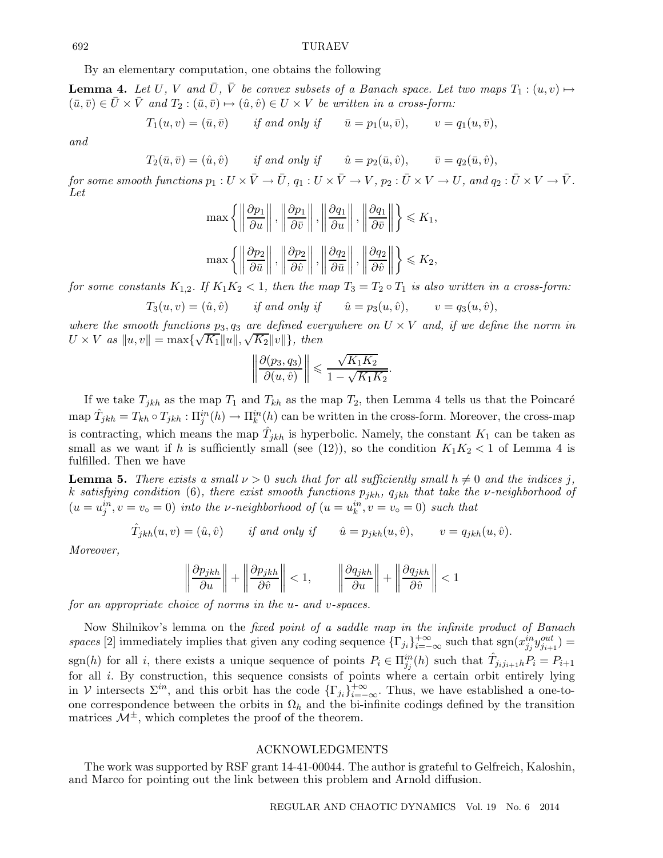## 692 TURAEV

By an elementary computation, one obtains the following

**Lemma 4.** Let U, V and  $\overline{U}$ ,  $\overline{V}$  be convex subsets of a Banach space. Let two maps  $T_1 : (u,v) \mapsto$  $(\bar{u}, \bar{v}) \in \bar{U} \times \bar{V}$  and  $T_2 : (\bar{u}, \bar{v}) \mapsto (\hat{u}, \hat{v}) \in U \times V$  be written in a cross-form:

 $T_1(u, v) = (\bar{u}, \bar{v})$  if and only if  $\bar{u} = p_1(u, \bar{v}),$   $v = q_1(u, \bar{v}),$ 

and

 $T_2(\bar{u}, \bar{v}) = (\hat{u}, \hat{v})$  if and only if  $\hat{u} = p_2(\bar{u}, \hat{v}),$   $\bar{v} = q_2(\bar{u}, \hat{v}),$ 

for some smooth functions  $p_1 : U \times \overline{V} \to \overline{U}$ ,  $q_1 : U \times \overline{V} \to V$ ,  $p_2 : \overline{U} \times V \to U$ , and  $q_2 : \overline{U} \times V \to \overline{V}$ . Let

$$
\max \left\{ \left\| \frac{\partial p_1}{\partial u} \right\|, \left\| \frac{\partial p_1}{\partial \bar{v}} \right\|, \left\| \frac{\partial q_1}{\partial u} \right\|, \left\| \frac{\partial q_1}{\partial \bar{v}} \right\| \right\} \leq K_1,
$$

$$
\max \left\{ \left\| \frac{\partial p_2}{\partial \bar{u}} \right\|, \left\| \frac{\partial p_2}{\partial \hat{v}} \right\|, \left\| \frac{\partial q_2}{\partial \bar{u}} \right\|, \left\| \frac{\partial q_2}{\partial \hat{v}} \right\| \right\} \leq K_2,
$$

for some constants  $K_{1,2}$ . If  $K_1K_2 < 1$ , then the map  $T_3 = T_2 \circ T_1$  is also written in a cross-form:

$$
T_3(u,v)=(\hat u,\hat v)\qquad \text{if and only if}\qquad \hat u=p_3(u,\hat v),\qquad v=q_3(u,\hat v),
$$

where the smooth functions  $p_3, q_3$  are defined everywhere on  $U \times V$  and, if we define the norm in where the smooth functions  $p_3, q_3$  are defined eve<br> $U \times V$  as  $||u, v|| = \max{\lbrace \sqrt{K_1} ||u||, \sqrt{K_2} ||v|| \rbrace}$ , then

$$
\left\|\frac{\partial(p_3, q_3)}{\partial(u, \hat{v})}\right\| \leqslant \frac{\sqrt{K_1K_2}}{1 - \sqrt{K_1K_2}}.
$$

If we take  $T_{jkh}$  as the map  $T_1$  and  $T_{kh}$  as the map  $T_2$ , then Lemma 4 tells us that the Poincaré  $\hat{T}_{jkh} = T_{kh} \circ T_{jkh} : \Pi_j^{in}(h) \to \Pi_k^{in}(h)$  can be written in the cross-form. Moreover, the cross-map is contracting, which means the map  $\hat{T}_{jkh}$  is hyperbolic. Namely, the constant  $K_1$  can be taken as small as we want if h is sufficiently small (see (12)), so the condition  $K_1K_2 < 1$  of Lemma 4 is fulfilled. Then we have

**Lemma 5.** There exists a small  $\nu > 0$  such that for all sufficiently small  $h \neq 0$  and the indices j. k satisfying condition (6), there exist smooth functions  $p_{jkh}$ ,  $q_{jkh}$  that take the v-neighborhood of  $(u = u_j^{in}, v = v_0 = 0)$  into the v-neighborhood of  $(u = u_k^{in}, v = v_0 = 0)$  such that

$$
\hat{T}_{jkh}(u,v) = (\hat{u}, \hat{v}) \quad \text{if and only if} \quad \hat{u} = p_{jkh}(u, \hat{v}), \quad v = q_{jkh}(u, \hat{v}).
$$

Moreover,

$$
\left\|\frac{\partial p_{jkh}}{\partial u}\right\| + \left\|\frac{\partial p_{jkh}}{\partial \hat{v}}\right\| < 1, \qquad \left\|\frac{\partial q_{jkh}}{\partial u}\right\| + \left\|\frac{\partial q_{jkh}}{\partial \hat{v}}\right\| < 1
$$

for an appropriate choice of norms in the u- and v-spaces.

Now Shilnikov's lemma on the *fixed point of a saddle map in the infinite product of Banach* spaces [2] immediately implies that given any coding sequence  $\{\Gamma_{j_i}\}_{i=-\infty}^{+\infty}$  such that  $sgn(x_{j_j}^{in}y_{j_{i+1}}^{out})$ sgn(h) for all i, there exists a unique sequence of points  $P_i \in \prod_{j=1}^{in} (h)$  such that  $\hat{T}_{j_i j_{i+1} h} P_i = P_{i+1}$ for all i. By construction, this sequence consists of points where a certain orbit entirely lying in V intersects  $\Sigma^{in}$ , and this orbit has the code  $\{\Gamma_{j_i}\}_{i=-\infty}^{+\infty}$ . Thus, we have established a one-toone correspondence between the orbits in  $\Omega_h$  and the bi-infinite codings defined by the transition matrices  $\mathcal{M}^{\pm}$ , which completes the proof of the theorem.

## ACKNOWLEDGMENTS

The work was supported by RSF grant 14-41-00044. The author is grateful to Gelfreich, Kaloshin, and Marco for pointing out the link between this problem and Arnold diffusion.